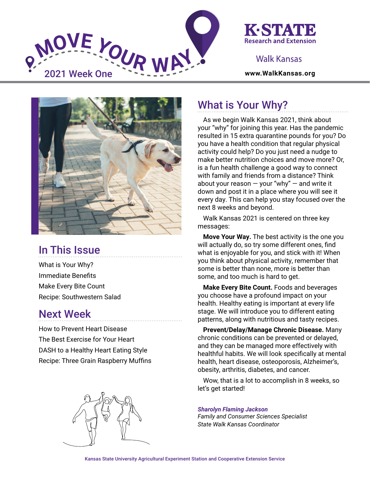



### Walk Kansas



# In This Issue

What is Your Why? Immediate Benefits Make Every Bite Count Recipe: Southwestern Salad

### Next Week

How to Prevent Heart Disease The Best Exercise for Your Heart DASH to a Healthy Heart Eating Style Recipe: Three Grain Raspberry Muffins



## What is Your Why?

As we begin Walk Kansas 2021, think about your "why" for joining this year. Has the pandemic resulted in 15 extra quarantine pounds for you? Do you have a health condition that regular physical activity could help? Do you just need a nudge to make better nutrition choices and move more? Or, is a fun health challenge a good way to connect with family and friends from a distance? Think about your reason  $-$  your "why"  $-$  and write it down and post it in a place where you will see it every day. This can help you stay focused over the next 8 weeks and beyond.

Walk Kansas 2021 is centered on three key messages:

**Move Your Way.** The best activity is the one you will actually do, so try some different ones, find what is enjoyable for you, and stick with it! When you think about physical activity, remember that some is better than none, more is better than some, and too much is hard to get.

**Make Every Bite Count.** Foods and beverages you choose have a profound impact on your health. Healthy eating is important at every life stage. We will introduce you to different eating patterns, along with nutritious and tasty recipes.

**Prevent/Delay/Manage Chronic Disease.** Many chronic conditions can be prevented or delayed, and they can be managed more effectively with healthful habits. We will look specifically at mental health, heart disease, osteoporosis, Alzheimer's, obesity, arthritis, diabetes, and cancer.

Wow, that is a lot to accomplish in 8 weeks, so let's get started!

*Sharolyn Flaming Jackson Family and Consumer Sciences Specialist State Walk Kansas Coordinator*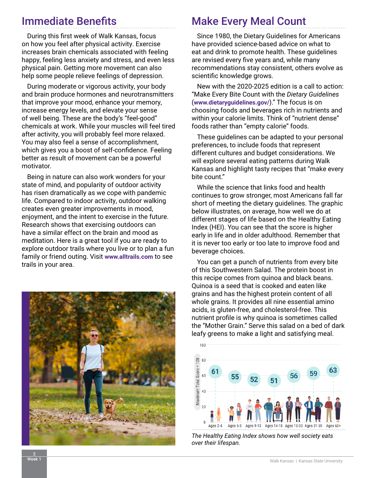## Immediate Benefits

During this first week of Walk Kansas, focus on how you feel after physical activity. Exercise increases brain chemicals associated with feeling happy, feeling less anxiety and stress, and even less physical pain. Getting more movement can also help some people relieve feelings of depression.

During moderate or vigorous activity, your body and brain produce hormones and neurotransmitters that improve your mood, enhance your memory, increase energy levels, and elevate your sense of well being. These are the body's "feel-good" chemicals at work. While your muscles will feel tired after activity, you will probably feel more relaxed. You may also feel a sense of accomplishment, which gives you a boost of self-confidence. Feeling better as result of movement can be a powerful motivator.

Being in nature can also work wonders for your state of mind, and popularity of outdoor activity has risen dramatically as we cope with pandemic life. Compared to indoor activity, outdoor walking creates even greater improvements in mood, enjoyment, and the intent to exercise in the future. Research shows that exercising outdoors can have a similar effect on the brain and mood as meditation. Here is a great tool if you are ready to explore outdoor trails where you live or to plan a fun family or friend outing. Visit **www.[alltrails.com](https://www.alltrails.com)** to see trails in your area.



# Make Every Meal Count

Since 1980, the Dietary Guidelines for Americans have provided science-based advice on what to eat and drink to promote health. These guidelines are revised every five years and, while many recommendations stay consistent, others evolve as scientific knowledge grows.

New with the 2020-2025 edition is a call to action: "Make Every Bite Count with the *Dietary Guidelines*  (**[www.dietaryguidelines.gov/](https://www.dietaryguidelines.gov/)**)." The focus is on choosing foods and beverages rich in nutrients and within your calorie limits. Think of "nutrient dense" foods rather than "empty calorie" foods.

These guidelines can be adapted to your personal preferences, to include foods that represent different cultures and budget considerations. We will explore several eating patterns during Walk Kansas and highlight tasty recipes that "make every bite count."

While the science that links food and health continues to grow stronger, most Americans fall far short of meeting the dietary guidelines. The graphic below illustrates, on average, how well we do at different stages of life based on the Healthy Eating Index (HEI). You can see that the score is higher early in life and in older adulthood. Remember that it is never too early or too late to improve food and beverage choices.

You can get a punch of nutrients from every bite of this Southwestern Salad. The protein boost in this recipe comes from quinoa and black beans. Quinoa is a seed that is cooked and eaten like grains and has the highest protein content of all whole grains. It provides all nine essential amino acids, is gluten-free, and cholesterol-free. This nutrient profile is why quinoa is sometimes called the "Mother Grain." Serve this salad on a bed of dark leafy greens to make a light and satisfying meal.



*The Healthy Eating Index shows how well society eats over their lifespan.*